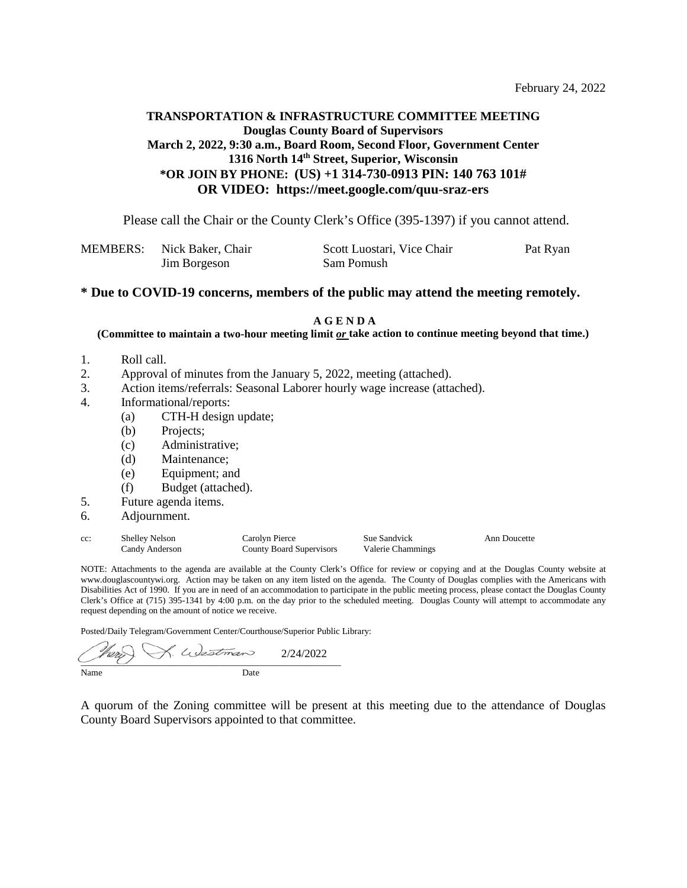### **TRANSPORTATION & INFRASTRUCTURE COMMITTEE MEETING Douglas County Board of Supervisors March 2, 2022, 9:30 a.m., Board Room, Second Floor, Government Center 1316 North 14th Street, Superior, Wisconsin \*OR JOIN BY PHONE:** (US) +1 314-730-0913 PIN: 140 763 101# **OR VIDEO: https://meet.google.com/quu-sraz-ers**

Please call the Chair or the County Clerk's Office (395-1397) if you cannot attend.

| MEMBERS: Nick Baker, Chair | Scott Luostari, Vice Chair | Pat Ryan |
|----------------------------|----------------------------|----------|
| Jim Borgeson               | Sam Pomush                 |          |

#### **\* Due to COVID-19 concerns, members of the public may attend the meeting remotely.**

**A G E N D A**

**(Committee to maintain a two-hour meeting limit** *or* **take action to continue meeting beyond that time.)** 

- 1. Roll call.
- 2. Approval of minutes from the January 5, 2022, meeting (attached).
- 3. Action items/referrals: Seasonal Laborer hourly wage increase (attached).
- 4. Informational/reports:
	- (a) CTH-H design update;
	- (b) Projects;
	- (c) Administrative;
	- (d) Maintenance;
	- (e) Equipment; and
	- (f) Budget (attached).
- 5. Future agenda items.
- 6. Adjournment.

| cc: | <b>Shelley Nelson</b> | Carolyn Pierce           | <b>Sue Sandvick</b> |
|-----|-----------------------|--------------------------|---------------------|
|     | Candy Anderson        | County Board Supervisors | Valerie Chammings   |

Ann Doucette

NOTE: Attachments to the agenda are available at the County Clerk's Office for review or copying and at the Douglas County website at www.douglascountywi.org. Action may be taken on any item listed on the agenda. The County of Douglas complies with the Americans with Disabilities Act of 1990. If you are in need of an accommodation to participate in the public meeting process, please contact the Douglas County Clerk's Office at (715) 395-1341 by 4:00 p.m. on the day prior to the scheduled meeting. Douglas County will attempt to accommodate any request depending on the amount of notice we receive.

Posted/Daily Telegram/Government Center/Courthouse/Superior Public Library:

K. Westman í 2/24/2022 $\overline{\phantom{a}}$   $\overline{\phantom{a}}$   $\overline{\phantom{a}}$   $\overline{\phantom{a}}$   $\overline{\phantom{a}}$   $\overline{\phantom{a}}$   $\overline{\phantom{a}}$   $\overline{\phantom{a}}$   $\overline{\phantom{a}}$   $\overline{\phantom{a}}$   $\overline{\phantom{a}}$   $\overline{\phantom{a}}$   $\overline{\phantom{a}}$   $\overline{\phantom{a}}$   $\overline{\phantom{a}}$   $\overline{\phantom{a}}$   $\overline{\phantom{a}}$   $\overline{\phantom{a}}$   $\overline{\$ Name Date

A quorum of the Zoning committee will be present at this meeting due to the attendance of Douglas County Board Supervisors appointed to that committee.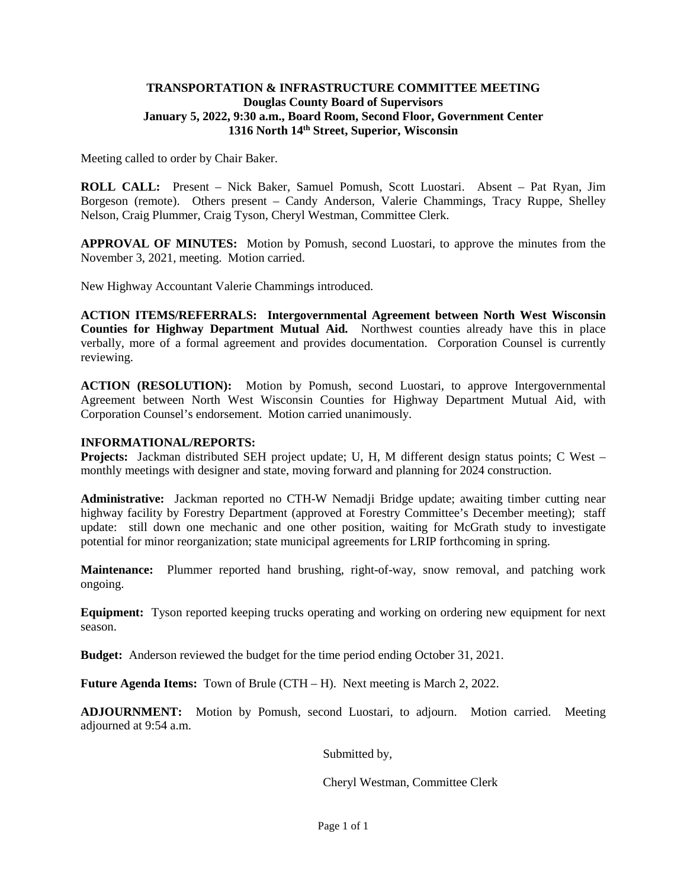### **TRANSPORTATION & INFRASTRUCTURE COMMITTEE MEETING Douglas County Board of Supervisors January 5, 2022, 9:30 a.m., Board Room, Second Floor, Government Center 1316 North 14th Street, Superior, Wisconsin**

Meeting called to order by Chair Baker.

**ROLL CALL:** Present – Nick Baker, Samuel Pomush, Scott Luostari. Absent – Pat Ryan, Jim Borgeson (remote). Others present – Candy Anderson, Valerie Chammings, Tracy Ruppe, Shelley Nelson, Craig Plummer, Craig Tyson, Cheryl Westman, Committee Clerk.

**APPROVAL OF MINUTES:** Motion by Pomush, second Luostari, to approve the minutes from the November 3, 2021, meeting. Motion carried.

New Highway Accountant Valerie Chammings introduced.

**ACTION ITEMS/REFERRALS: Intergovernmental Agreement between North West Wisconsin Counties for Highway Department Mutual Aid.** Northwest counties already have this in place verbally, more of a formal agreement and provides documentation. Corporation Counsel is currently reviewing.

**ACTION (RESOLUTION):** Motion by Pomush, second Luostari, to approve Intergovernmental Agreement between North West Wisconsin Counties for Highway Department Mutual Aid, with Corporation Counsel's endorsement. Motion carried unanimously.

#### **INFORMATIONAL/REPORTS:**

**Projects:** Jackman distributed SEH project update; U, H, M different design status points; C West – monthly meetings with designer and state, moving forward and planning for 2024 construction.

**Administrative:** Jackman reported no CTH-W Nemadji Bridge update; awaiting timber cutting near highway facility by Forestry Department (approved at Forestry Committee's December meeting); staff update: still down one mechanic and one other position, waiting for McGrath study to investigate potential for minor reorganization; state municipal agreements for LRIP forthcoming in spring.

**Maintenance:** Plummer reported hand brushing, right-of-way, snow removal, and patching work ongoing.

**Equipment:** Tyson reported keeping trucks operating and working on ordering new equipment for next season.

**Budget:** Anderson reviewed the budget for the time period ending October 31, 2021.

**Future Agenda Items:** Town of Brule (CTH – H). Next meeting is March 2, 2022.

**ADJOURNMENT:** Motion by Pomush, second Luostari, to adjourn. Motion carried. Meeting adjourned at 9:54 a.m.

Submitted by,

Cheryl Westman, Committee Clerk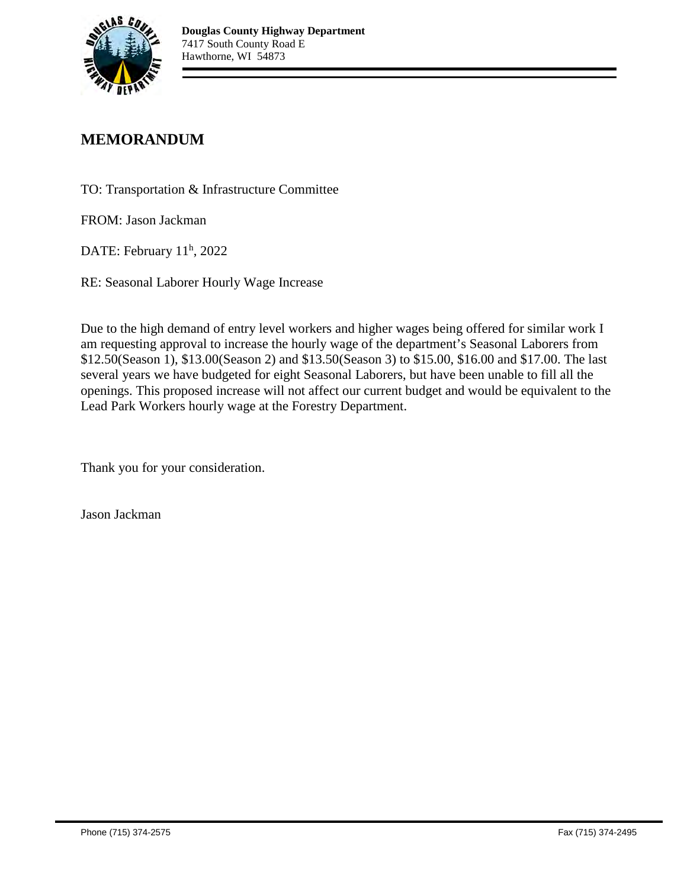

## **MEMORANDUM**

TO: Transportation & Infrastructure Committee

FROM: Jason Jackman

DATE: February 11<sup>h</sup>, 2022

RE: Seasonal Laborer Hourly Wage Increase

Due to the high demand of entry level workers and higher wages being offered for similar work I am requesting approval to increase the hourly wage of the department's Seasonal Laborers from \$12.50(Season 1), \$13.00(Season 2) and \$13.50(Season 3) to \$15.00, \$16.00 and \$17.00. The last several years we have budgeted for eight Seasonal Laborers, but have been unable to fill all the openings. This proposed increase will not affect our current budget and would be equivalent to the Lead Park Workers hourly wage at the Forestry Department.

Thank you for your consideration.

Jason Jackman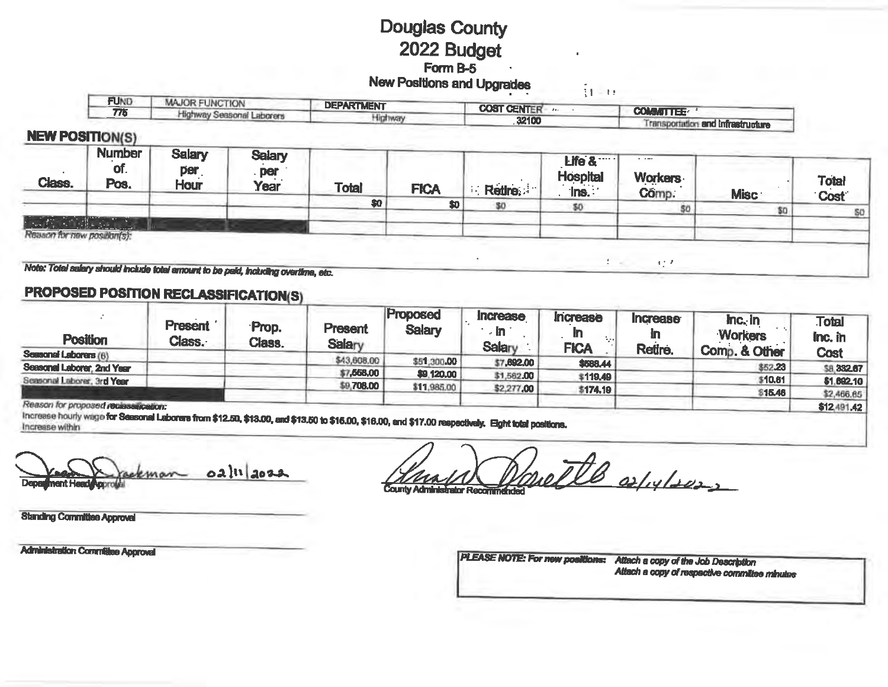# **Douglas County** 2022 Budget Form B-5 **New Positions and Upgrades**

री नग **FUND MAJOR FUNCTION DEPARTMENT COST CENTER ALL SECTIONS COMMITTEE: !!** 775 Highway Seasonal Laborers Highway 32100 Transportation and Infrastructure

### **NEW POSITION(S)**

| Class.                             | ____<br><b>Number</b><br>of.<br>Pos. | <b>Salary</b><br>per<br>Hour | <b>Salary</b><br>. per<br>Year | <b>Total</b> | <b>FICA</b> | <b>Retire</b> | Life &<br><b>Hospital</b><br>$\ln s$ . | $\alpha = 0.0001$<br>Workers<br>Comp | <b>Misc</b> | <b>Total</b><br><b>Cost</b> |
|------------------------------------|--------------------------------------|------------------------------|--------------------------------|--------------|-------------|---------------|----------------------------------------|--------------------------------------|-------------|-----------------------------|
|                                    |                                      |                              |                                | \$0          | \$0         | SD            |                                        | \$1                                  |             | so                          |
| 机磁性<br>Reason for new position(s): | and the second control of the second |                              |                                |              |             |               |                                        |                                      |             |                             |

Note: Total salary should include total arrount to be paid, including overtime, etc.

## **PROPOSED POSITION RECLASSIFICATION(S)**

| <b>Position</b>                    | <b>Present</b><br>Class. | Prop.<br>Class. | <b>Present</b><br><b>Salary</b> | Proposed<br><b>Salary</b> | Increase<br>⇒In ⊺<br><b>Salary</b> | <b>Increase</b><br><b>FICA</b> | <b>Increase</b><br>Retire. | $\ln c$ in<br><b>Workers</b><br>Comp. & Other | <b>Total</b><br>Inc. in<br><b>Cost</b> |
|------------------------------------|--------------------------|-----------------|---------------------------------|---------------------------|------------------------------------|--------------------------------|----------------------------|-----------------------------------------------|----------------------------------------|
| Seasonal Laborars (6)              |                          |                 | \$43,608.00                     | \$51,300,00               |                                    |                                |                            |                                               |                                        |
| Seasonal Laborer, 2nd Year         |                          |                 |                                 |                           | \$7,692,00                         | \$588.44                       |                            | \$52.23                                       | <b>\$8,332.67</b>                      |
|                                    |                          |                 | \$7,558,00                      | \$9,120.00                | \$1,562.00                         | \$119,49                       |                            | \$10.61                                       |                                        |
| Seasonal Laborer, 3rd Year         |                          |                 | \$9,708.00                      | \$11,985.00               | \$2,277,00                         |                                |                            |                                               | \$1,692.10                             |
|                                    |                          |                 |                                 |                           |                                    | \$174.19                       |                            | 815.46                                        | \$2,466.65                             |
| Reason for proposed recessarceson: |                          |                 |                                 |                           |                                    |                                |                            |                                               | \$12,491.42                            |

Increase hourly wage for Seasonal Laborers from \$12.50, \$13.00, and \$13.50 to \$15.00, \$16.00, and \$17.00 respectively. Eight total positions.

 $02$   $||1||2022$ eman **hnent Heady** 

ottle oflylows **County Administrator Recommended** 

**Standing Committee Approvel** 

**Administration Committee Approval** 

PLEASE NOTE: For new positions: Attach a copy of the Job Description Attach a copy of respective committee minutes

 $\mathcal{L} = \mathcal{L}$  $\epsilon \lesssim 2$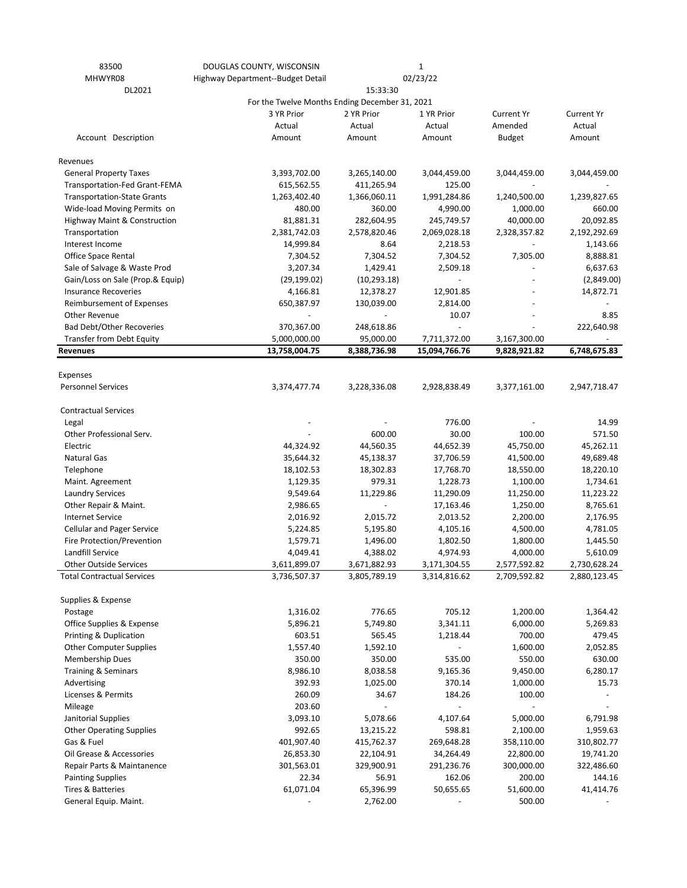| 83500                                   | DOUGLAS COUNTY, WISCONSIN                      |              | $\mathbf{1}$  |                   |                   |
|-----------------------------------------|------------------------------------------------|--------------|---------------|-------------------|-------------------|
| MHWYR08                                 | Highway Department--Budget Detail              |              | 02/23/22      |                   |                   |
| DL2021                                  | For the Twelve Months Ending December 31, 2021 | 15:33:30     |               |                   |                   |
|                                         | 3 YR Prior                                     | 2 YR Prior   | 1 YR Prior    | <b>Current Yr</b> | <b>Current Yr</b> |
|                                         | Actual                                         | Actual       | Actual        | Amended           | Actual            |
| Account Description                     | Amount                                         | Amount       | Amount        | <b>Budget</b>     | Amount            |
|                                         |                                                |              |               |                   |                   |
| Revenues                                |                                                |              |               |                   |                   |
| <b>General Property Taxes</b>           | 3,393,702.00                                   | 3,265,140.00 | 3,044,459.00  | 3,044,459.00      | 3,044,459.00      |
| Transportation-Fed Grant-FEMA           | 615,562.55                                     | 411,265.94   | 125.00        |                   |                   |
| <b>Transportation-State Grants</b>      | 1,263,402.40                                   | 1,366,060.11 | 1,991,284.86  | 1,240,500.00      | 1,239,827.65      |
| Wide-load Moving Permits on             | 480.00                                         | 360.00       | 4,990.00      | 1,000.00          | 660.00            |
| <b>Highway Maint &amp; Construction</b> | 81,881.31                                      | 282,604.95   | 245,749.57    | 40,000.00         | 20,092.85         |
| Transportation                          | 2,381,742.03                                   | 2,578,820.46 | 2,069,028.18  | 2,328,357.82      | 2,192,292.69      |
| Interest Income                         | 14,999.84                                      | 8.64         | 2,218.53      |                   | 1,143.66          |
| Office Space Rental                     | 7,304.52                                       | 7,304.52     | 7,304.52      | 7,305.00          | 8,888.81          |
| Sale of Salvage & Waste Prod            | 3,207.34                                       | 1,429.41     | 2,509.18      |                   | 6,637.63          |
| Gain/Loss on Sale (Prop.& Equip)        | (29, 199.02)                                   | (10, 293.18) |               |                   | (2,849.00)        |
| <b>Insurance Recoveries</b>             | 4,166.81                                       | 12,378.27    | 12,901.85     |                   | 14,872.71         |
| Reimbursement of Expenses               | 650,387.97                                     | 130,039.00   | 2,814.00      |                   |                   |
| Other Revenue                           |                                                |              | 10.07         |                   | 8.85              |
| <b>Bad Debt/Other Recoveries</b>        | 370,367.00                                     | 248,618.86   |               |                   | 222,640.98        |
| <b>Transfer from Debt Equity</b>        | 5,000,000.00                                   | 95,000.00    | 7,711,372.00  | 3,167,300.00      |                   |
| <b>Revenues</b>                         | 13,758,004.75                                  | 8,388,736.98 | 15,094,766.76 | 9,828,921.82      | 6,748,675.83      |
|                                         |                                                |              |               |                   |                   |
| Expenses                                |                                                |              |               |                   |                   |
| <b>Personnel Services</b>               | 3,374,477.74                                   | 3,228,336.08 | 2,928,838.49  | 3,377,161.00      | 2,947,718.47      |
| <b>Contractual Services</b>             |                                                |              |               |                   |                   |
| Legal                                   |                                                |              | 776.00        |                   | 14.99             |
| Other Professional Serv.                |                                                | 600.00       | 30.00         | 100.00            | 571.50            |
| Electric                                | 44,324.92                                      | 44,560.35    | 44,652.39     | 45,750.00         | 45,262.11         |
| <b>Natural Gas</b>                      | 35,644.32                                      | 45,138.37    | 37,706.59     | 41,500.00         | 49,689.48         |
| Telephone                               | 18,102.53                                      | 18,302.83    | 17,768.70     | 18,550.00         | 18,220.10         |
| Maint. Agreement                        | 1,129.35                                       | 979.31       | 1,228.73      | 1,100.00          | 1,734.61          |
| <b>Laundry Services</b>                 | 9,549.64                                       | 11,229.86    | 11,290.09     | 11,250.00         | 11,223.22         |
| Other Repair & Maint.                   | 2,986.65                                       |              | 17,163.46     | 1,250.00          | 8,765.61          |
| <b>Internet Service</b>                 | 2,016.92                                       | 2,015.72     | 2,013.52      | 2,200.00          | 2,176.95          |
| <b>Cellular and Pager Service</b>       | 5,224.85                                       | 5,195.80     | 4,105.16      | 4,500.00          | 4,781.05          |
| Fire Protection/Prevention              | 1,579.71                                       | 1,496.00     | 1,802.50      | 1,800.00          | 1,445.50          |
| Landfill Service                        | 4,049.41                                       | 4,388.02     | 4,974.93      | 4,000.00          | 5,610.09          |
| <b>Other Outside Services</b>           | 3,611,899.07                                   | 3,671,882.93 | 3,171,304.55  | 2,577,592.82      | 2,730,628.24      |
| <b>Total Contractual Services</b>       | 3,736,507.37                                   | 3,805,789.19 | 3,314,816.62  | 2,709,592.82      | 2,880,123.45      |
|                                         |                                                |              |               |                   |                   |
| Supplies & Expense                      |                                                |              |               |                   |                   |
| Postage                                 | 1,316.02                                       | 776.65       | 705.12        | 1,200.00          | 1,364.42          |
| Office Supplies & Expense               | 5,896.21                                       | 5,749.80     | 3,341.11      | 6,000.00          | 5,269.83          |
| <b>Printing &amp; Duplication</b>       | 603.51                                         | 565.45       | 1,218.44      | 700.00            | 479.45            |
| <b>Other Computer Supplies</b>          | 1,557.40                                       | 1,592.10     |               | 1,600.00          | 2,052.85          |
| <b>Membership Dues</b>                  | 350.00                                         | 350.00       | 535.00        | 550.00            | 630.00            |
| Training & Seminars                     | 8,986.10                                       | 8,038.58     | 9,165.36      | 9,450.00          | 6,280.17          |
| Advertising                             | 392.93                                         | 1,025.00     | 370.14        | 1,000.00          | 15.73             |
| Licenses & Permits                      | 260.09                                         | 34.67        | 184.26        | 100.00            |                   |
| Mileage                                 | 203.60                                         |              |               |                   |                   |
| Janitorial Supplies                     | 3,093.10                                       | 5,078.66     | 4,107.64      | 5,000.00          | 6,791.98          |
| <b>Other Operating Supplies</b>         | 992.65                                         | 13,215.22    | 598.81        | 2,100.00          | 1,959.63          |
| Gas & Fuel                              | 401,907.40                                     | 415,762.37   | 269,648.28    | 358,110.00        | 310,802.77        |
| Oil Grease & Accessories                | 26,853.30                                      | 22,104.91    | 34,264.49     | 22,800.00         | 19,741.20         |
| Repair Parts & Maintanence              | 301,563.01                                     | 329,900.91   | 291,236.76    | 300,000.00        | 322,486.60        |
| <b>Painting Supplies</b>                | 22.34                                          | 56.91        | 162.06        | 200.00            | 144.16            |
| Tires & Batteries                       | 61,071.04                                      | 65,396.99    | 50,655.65     | 51,600.00         | 41,414.76         |
| General Equip. Maint.                   |                                                | 2,762.00     |               | 500.00            |                   |
|                                         |                                                |              |               |                   |                   |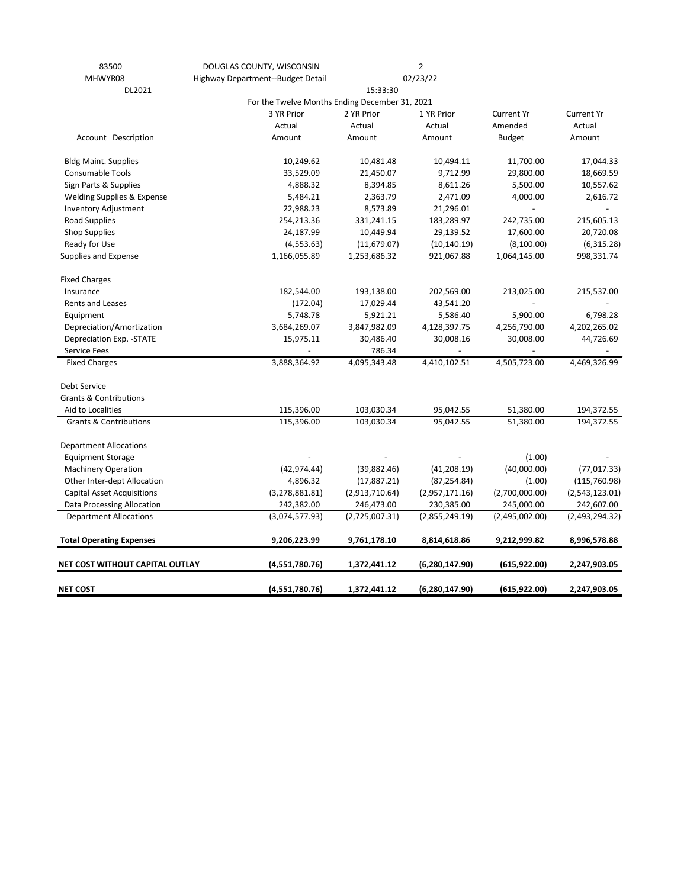| 83500                                 | DOUGLAS COUNTY, WISCONSIN                      |                | $\overline{2}$   |                   |                   |
|---------------------------------------|------------------------------------------------|----------------|------------------|-------------------|-------------------|
| MHWYR08                               | Highway Department--Budget Detail              |                | 02/23/22         |                   |                   |
| DL2021                                |                                                |                |                  |                   |                   |
|                                       | For the Twelve Months Ending December 31, 2021 |                |                  |                   |                   |
|                                       | 3 YR Prior                                     | 2 YR Prior     | 1 YR Prior       | <b>Current Yr</b> | <b>Current Yr</b> |
|                                       | Actual                                         | Actual         | Actual           | Amended           | Actual            |
| Account Description                   | Amount                                         | Amount         | Amount           | <b>Budget</b>     | Amount            |
| <b>Bldg Maint. Supplies</b>           | 10,249.62                                      | 10,481.48      | 10,494.11        | 11,700.00         | 17,044.33         |
| Consumable Tools                      | 33,529.09                                      | 21,450.07      | 9,712.99         | 29,800.00         | 18,669.59         |
| Sign Parts & Supplies                 | 4,888.32                                       | 8,394.85       | 8,611.26         | 5,500.00          | 10,557.62         |
| <b>Welding Supplies &amp; Expense</b> | 5,484.21                                       | 2,363.79       | 2,471.09         | 4,000.00          | 2,616.72          |
| Inventory Adjustment                  | 22,988.23                                      | 8,573.89       | 21,296.01        |                   |                   |
| Road Supplies                         | 254,213.36                                     | 331,241.15     | 183,289.97       | 242,735.00        | 215,605.13        |
| <b>Shop Supplies</b>                  | 24,187.99                                      | 10,449.94      | 29,139.52        | 17,600.00         | 20,720.08         |
| Ready for Use                         | (4, 553.63)                                    | (11, 679.07)   | (10, 140.19)     | (8,100.00)        | (6,315.28)        |
| Supplies and Expense                  | 1,166,055.89                                   | 1,253,686.32   | 921,067.88       | 1,064,145.00      | 998,331.74        |
| <b>Fixed Charges</b>                  |                                                |                |                  |                   |                   |
| Insurance                             | 182,544.00                                     | 193,138.00     | 202,569.00       | 213,025.00        | 215,537.00        |
| Rents and Leases                      | (172.04)                                       | 17,029.44      | 43,541.20        |                   |                   |
| Equipment                             | 5,748.78                                       | 5,921.21       | 5,586.40         | 5,900.00          | 6,798.28          |
| Depreciation/Amortization             | 3,684,269.07                                   | 3,847,982.09   | 4,128,397.75     | 4,256,790.00      | 4,202,265.02      |
| Depreciation Exp. - STATE             | 15,975.11                                      | 30,486.40      | 30,008.16        | 30,008.00         | 44,726.69         |
| Service Fees                          |                                                | 786.34         |                  |                   |                   |
| <b>Fixed Charges</b>                  | 3,888,364.92                                   | 4,095,343.48   | 4,410,102.51     | 4,505,723.00      | 4,469,326.99      |
| Debt Service                          |                                                |                |                  |                   |                   |
| <b>Grants &amp; Contributions</b>     |                                                |                |                  |                   |                   |
| Aid to Localities                     | 115,396.00                                     | 103,030.34     | 95,042.55        | 51,380.00         | 194,372.55        |
| <b>Grants &amp; Contributions</b>     | 115,396.00                                     | 103,030.34     | 95,042.55        | 51,380.00         | 194,372.55        |
| <b>Department Allocations</b>         |                                                |                |                  |                   |                   |
| <b>Equipment Storage</b>              |                                                |                |                  | (1.00)            |                   |
| <b>Machinery Operation</b>            | (42, 974.44)                                   | (39,882.46)    | (41, 208.19)     | (40,000.00)       | (77, 017.33)      |
| Other Inter-dept Allocation           | 4,896.32                                       | (17,887.21)    | (87, 254.84)     | (1.00)            | (115,760.98)      |
| <b>Capital Asset Acquisitions</b>     | (3, 278, 881.81)                               | (2,913,710.64) | (2,957,171.16)   | (2,700,000.00)    | (2,543,123.01)    |
| Data Processing Allocation            | 242,382.00                                     | 246,473.00     | 230,385.00       | 245,000.00        | 242,607.00        |
| <b>Department Allocations</b>         | (3,074,577.93)                                 | (2,725,007.31) | (2,855,249.19)   | (2,495,002.00)    | (2,493,294.32)    |
| <b>Total Operating Expenses</b>       | 9,206,223.99                                   | 9,761,178.10   | 8,814,618.86     | 9,212,999.82      | 8,996,578.88      |
| NET COST WITHOUT CAPITAL OUTLAY       | (4,551,780.76)                                 | 1,372,441.12   | (6, 280, 147.90) | (615, 922.00)     | 2,247,903.05      |
| <b>NET COST</b>                       | (4,551,780.76)                                 | 1,372,441.12   | (6, 280, 147.90) | (615, 922.00)     | 2,247,903.05      |